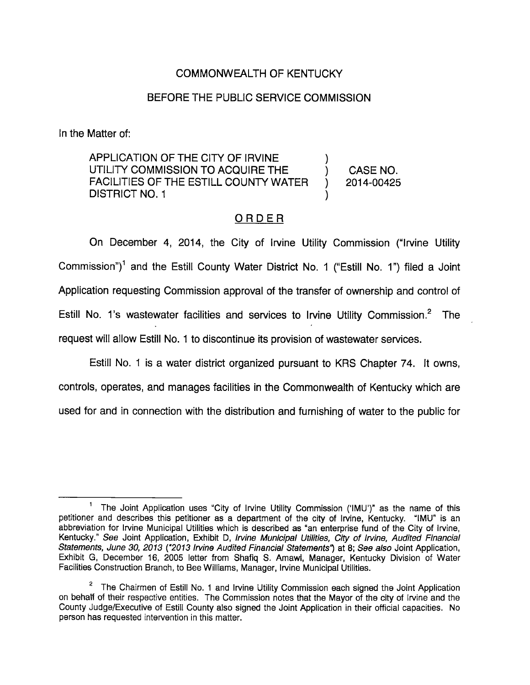## COMMONWEALTH OF KENTUCKY

## BEFORE THE PUBLIC SERVICE COMMISSION

In the Matter of:

APPLICATION OF THE CITY OF IRVINE UTILITY COMMISSION TO ACQUIRE THE ) CASE NO. FACILITIES OF THE ESTILL COUNTY WATER ) 2014-00425 DISTRICT NO. 1

## **ORDER**

On December 4, 2014, the City of Irvine Utility Commission ("Irvine Utility Commission")<sup>1</sup> and the Estill County Water District No. 1 ("Estill No. 1") filed a Joint Application requesting Commission approval of the transfer of ownership and control of Estill No. 1's wastewater facilities and services to Irvine Utility Commission.<sup>2</sup> The request will allow Estill No. 1 to discontinue its provision of wastewater services.

Estill No. 1 is a water district organized pursuant to KRS Chapter 74. It owns, controls, operates, and manages facilities in the Commonwealth of Kentucky which are used for and in connection with the distribution and furnishing of water to the public for

The Joint Application uses "City of Irvine Utility Commission ('IMU')" as the name of this petitioner and describes this petitioner as a department of the city of Irvine, Kentucky. "IMU" is an abbreviation for Irvine Municipal Utilities which is described as "an enterprise fund of the City of Irvine, Kentucky." See Joint Application, Exhibit D, Irvine Municipal Utilities, City of Irvine, Audited Financial Statements, June 30, 2013 ("2013 Irvine Audited Financial Statements") at 8; See also Joint Application, Exhibit G, December 16, 2005 letter from Shafiq S. Amawi, Manager, Kentucky Division of Water Facilities Construction Branch, to Bee Williams, Manager, Irvine Municipal Utilities.

 $2$  The Chairmen of Estill No. 1 and Irvine Utility Commission each signed the Joint Application on behalf of their respective entities. The Commission notes that the Mayor of the city of Irvine and the County Judge/Executive of Estill County also signed the Joint Application in their official capacities. No person has requested intervention in this matter.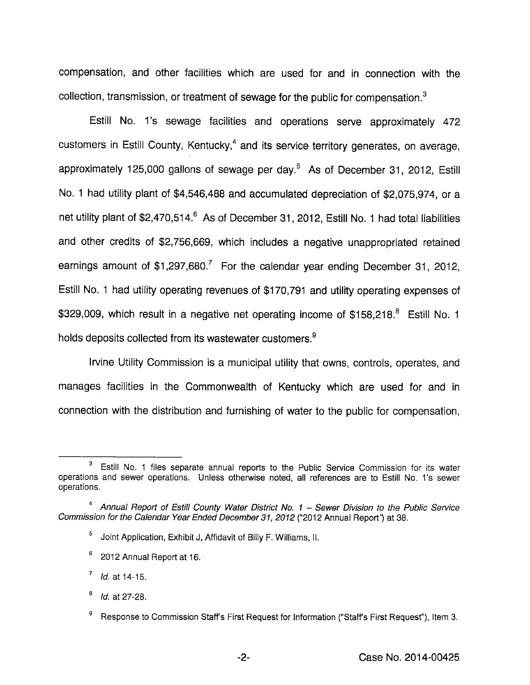compensation, and other facilities which are used for and in connection with the collection, transmission, or treatment of sewage for the public for compensation. $<sup>3</sup>$ </sup>

Estill No. 1's sewage facilities and operations serve approximately 472 customers in Estill County, Kentucky,<sup>4</sup> and its service territory generates, on average, approximately 125,000 gallons of sewage per day. $<sup>5</sup>$  As of December 31, 2012, Estill</sup> No. 1 had utility plant of \$4,546,488 and accumulated depreciation of \$2,075,974, or a net utility plant of \$2,470,514.<sup>6</sup> As of December 31, 2012, Estill No. 1 had total liabilities and other credits of \$2,756,669, which includes a negative unappropriated retained earnings amount of  $$1,297,680$ .<sup>7</sup> For the calendar year ending December 31, 2012, Estill No. 1 had utility operating revenues of \$170,791 and utility operating expenses of \$329,009, which result in a negative net operating income of \$158,218.<sup>8</sup> Estill No. 1 holds deposits collected from its wastewater customers.<sup>9</sup>

Irvine Utility Commission is a municipal utility that owns, controls, operates, and manages facilities in the Commonwealth of Kentucky which are used for and in connection with the distribution and furnishing of water to the public for compensation.

 $3$  Estill No. 1 files separate annual reports to the Public Service Commission for its water operations and sewer operations. Unless otherwise noted, all references are to Estill No. 1's sewer operations.

<sup>&</sup>lt;sup>4</sup> Annual Report of Estill County Water District No.  $1$  – Sewer Division to the Public Service Commission for the Calendar Year Ended December 31, 2012 ("2012 Annual Report") at 38.

<sup>&</sup>lt;sup>5</sup> Joint Application, Exhibit J, Affidavit of Billy F. Williams, II.

<sup>®</sup> 2012 Annual Report at 16.

 $^7$  *ld.* at 14-15.

 $^{8}$  *ld.* at 27-28.

 $9^9$  Response to Commission Staffs First Request for Information ("Staffs First Request"), Item 3.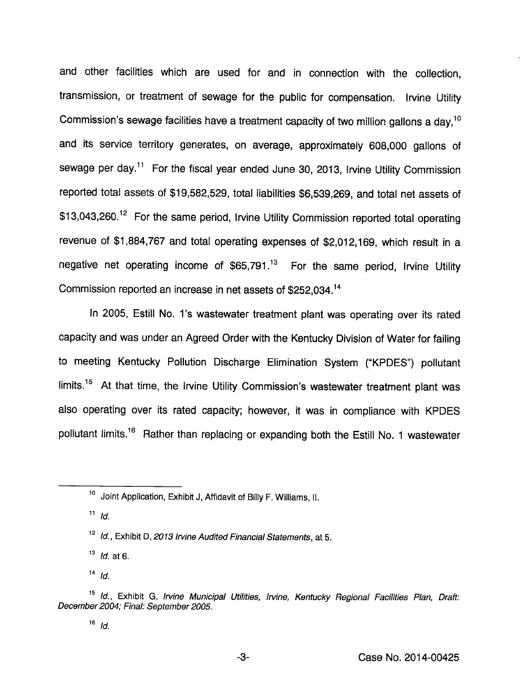and other facilities which are used for and in connection with the collection, transmission, or treatment of sewage for the public for compensation. Irvine Utility Commission's sewage facilities have a treatment capacity of two million gallons a day,<sup>10</sup> and its service territory generates, on average, approximately 608,000 gallons of sewage per day.<sup>11</sup> For the fiscal year ended June 30, 2013, Irvine Utility Commission reported total assets of \$19,582,529, total liabilities \$6,539,269, and total net assets of \$13,043,260.<sup>12</sup> For the same period, Irvine Utility Commission reported total operating revenue of \$1,884,767 and total operating expenses of \$2,012,169, which result in a negative net operating income of  $$65,791<sup>13</sup>$  For the same period, Irvine Utility Commission reported an increase in net assets of \$252,034.<sup>14</sup>

In 2005, Estill No. 1's wastewater treatment plant was operating over its rated capacity and was under an Agreed Order with the Kentucky Division of Water for failing to meeting Kentucky Pollution Discharge Elimination System ("KPDES") pollutant limits.<sup>15</sup> At that time, the Irvine Utility Commission's wastewater treatment plant was also operating over its rated capacity; however, it was in compliance with KPDES pollutant limits.<sup>16</sup> Rather than replacing or expanding both the Estill No. 1 wastewater

 $11$  *Id.* 

 $14$   $ld$ .

<sup>&</sup>lt;sup>10</sup> Joint Application, Exhibit J, Affidavit of Billy F. Williams, II.

<sup>&</sup>lt;sup>12</sup> Id., Exhibit D, 2013 Irvine Audited Financial Statements, at 5.

 $13$  *ld.* at 6.

<sup>&</sup>lt;sup>15</sup> Id., Exhibit G, Irvine Municipal Utilities, Irvine, Kentucky Regional Facilities Plan, Draft: December 2004; Final: September 2005.

 $16$  *ld.*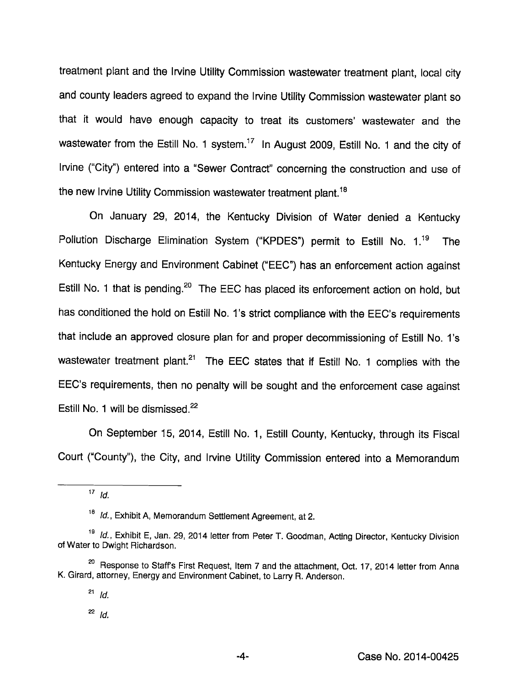treatment plant and the Irvine Utility Commission wastewater treatment plant, local city and county leaders agreed to expand the Irvine Utility Commission wastewater plant so that it would have enough capacity to treat its customers' wastewater and the wastewater from the Estill No. 1 system.<sup>17</sup> In August 2009, Estill No. 1 and the city of Irvine ("City") entered into a "Sewer Contract" concerning the construction and use of the new Irvine Utility Commission wastewater treatment plant.<sup>18</sup>

On January 29, 2014, the Kentucky Division of Water denied a Kentucky Pollution Discharge Elimination System ("KPDES") permit to Estill No.  $1^{19}$  The Kentucky Energy and Environment Cabinet ("EEC") has an enforcement action against Estill No. 1 that is pending.<sup>20</sup> The EEC has placed its enforcement action on hold, but has conditioned the hold on Estill No. 1's strict compliance with the EEC's requirements that include an approved closure plan for and proper decommissioning of Estill No. 1's wastewater treatment plant. $21$  The EEC states that if Estill No. 1 complies with the EEC's requirements, then no penalty will be sought and the enforcement case against Estill No. 1 will be dismissed.<sup>22</sup>

On September 15, 2014, Estill No. 1, Estill County, Kentucky, through its Fiscal Court ("County"), the City, and Irvine Utility Commission entered into a Memorandum

 $17$  Id.

<sup>&</sup>lt;sup>18</sup> Id., Exhibit A, Memorandum Settlement Agreement, at 2.

<sup>&</sup>lt;sup>19</sup> Id., Exhibit E, Jan. 29, 2014 letter from Peter T. Goodman, Acting Director, Kentucky Division of Water to Dwight Richardson.

<sup>&</sup>lt;sup>20</sup> Response to Staff's First Request, Item 7 and the attachment, Oct. 17, 2014 letter from Anna K. Girard, attorney. Energyand Environment Cabinet, to Larry R. Anderson.

 $^{21}$  Id.

 $^{22}$  Id.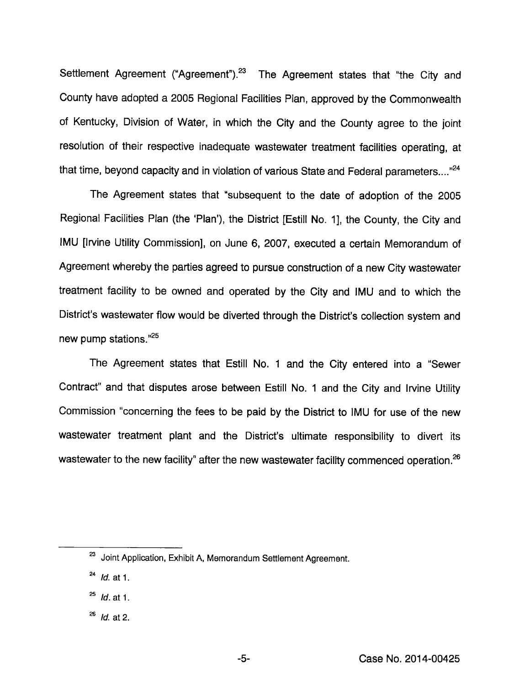Settlement Agreement ("Agreement").<sup>23</sup> The Agreement states that "the City and County have adopted a 2005 Regional Facilities Plan, approved by the Commonwealth of Kentucky, Division of Water, in which the City and the County agree to the joint resolution of their respective inadequate wastewater treatment facilities operating, at that time, beyond capacity and in violation of various State and Federal parameters...."<sup>24</sup>

The Agreement states that "subsequent to the date of adoption of the 2005 Regional Facilities Plan (the 'Plan'), the District [Estill No. 1], the County, the City and IMU [Irvine Utility Commission], on June 6, 2007, executed a certain Memorandum of Agreement whereby the parties agreed to pursue construction of a new City wastewater treatment facility to be owned and operated by the City and IMU and to which the District's wastewater flow would be diverted through the District's collection system and new pump stations.

The Agreement states that Estill No. 1 and the City entered into a "Sewer Contract" and that disputes arose between Estill No. 1 and the City and Irvine Utility Commission "conceming the fees to be paid by the District to IMU for use of the new wastewater treatment plant and the District's ultimate responsibility to divert its wastewater to the new facility" after the new wastewater facility commenced operation. $26$ 

<sup>&</sup>lt;sup>23</sup> Joint Application, Exhibit A, Memorandum Settlement Agreement.

 $^{24}$  *Id.* at 1.

 $^{25}$  *ld.* at 1.

 $^{26}$  *Id.* at 2.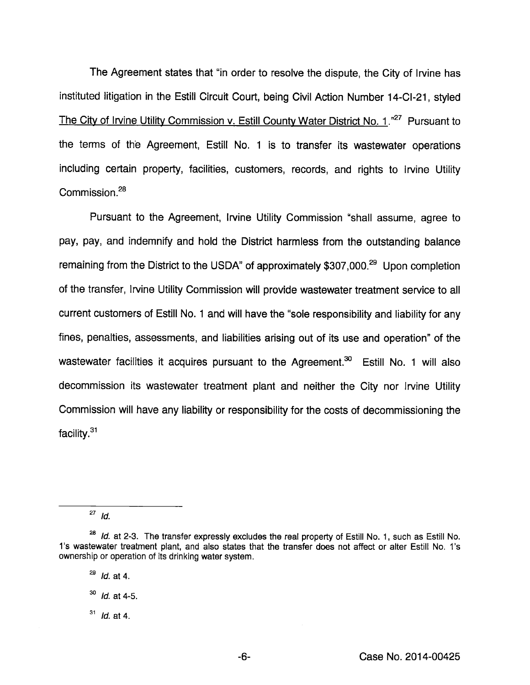The Agreement states that "in order to resolve the dispute, the City of Irvine has instituted litigation in the Estill Circuit Court, being Civil Action Number 14-CI-21, styled The City of Irvine Utility Commission v. Estill County Water District No. 1.<sup>"27</sup> Pursuant to the terms of the Agreement, Estill No. 1 is to transfer its wastewater operations including certain property, facilities, customers, records, and rights to Irvine Utility Commission.<sup>28</sup>

Pursuant to the Agreement, Irvine Utility Commission "shall assume, agree to pay, pay, and indemnify and hold the District harmless from the outstanding balance remaining from the District to the USDA" of approximately  $$307,000.<sup>29</sup>$  Upon completion of the transfer, Irvine Utility Commission will provide wastewater treatment service to all current customers of Estill No. 1 and will have the "sole responsibility and liability for any fines, penalties, assessments, and liabilities arising out of its use and operation" of the wastewater facilities it acquires pursuant to the Agreement.<sup>30</sup> Estill No. 1 will also decommission its wastewater treatment plant and neither the City nor Irvine Utility Commission will have any liability or responsibility for the costs of decommissioning the facility.<sup>31</sup>

 $\overline{a}$  *Id.* 

 $^{28}$  Id. at 2-3. The transfer expressly excludes the real property of Estill No. 1, such as Estill No. 1's wastewater treatment plant, and also states that the transfer does not affect or alter Estill No. 1's ownership or operation of its drinking water system.

 $^{29}$  *Id.* at 4.

 $^{30}$  *Id.* at 4-5.

 $31$  *Id.* at 4.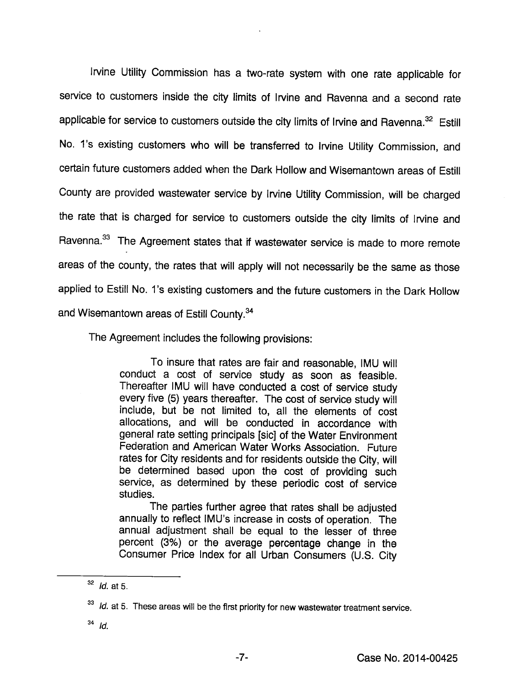Irvine Utility Commission has a two-rate system with one rate applicable for service to customers inside the city limits of Irvine and Ravenna and a second rate applicable for service to customers outside the city limits of Irvine and Ravenna.<sup>32</sup> Estill No. 1's existing customers who will be transferred to Irvine Utility Commission, and certain future customers added when the Dark Hollow and Wisemantown areas of Estill County are provided wastewater service by Irvine Utility Commission, will be charged the rate that is charged for service to customers outside the city limits of Irvine and Ravenna.<sup>33</sup> The Agreement states that if wastewater service is made to more remote areas of the county, the rates that will apply will not necessarily be the same as those applied to Estill No. 1's existing customers and the future customers in the Dark Hollow and Wisemantown areas of Estill County.<sup>34</sup>

The Agreement includes the following provisions:

To insure that rates are fair and reasonable, IMU will conduct a cost of service study as soon as feasible. Thereafter IMU will have conducted a cost of service study every five (5) years thereafter. The cost of service study will include, but be not limited to, all the elements of cost allocations, and will be conducted in accordance with general rate setting principals [sic] of the Water Environment Federation and American Water Works Association. Future rates for City residents and for residents outside the City, will be determined based upon the cost of providing such service, as determined by these periodic cost of service studies.

The parties further agree that rates shail be adjusted annually to reflect IMU's increase in costs of operation. The annual adjustment shall be equal to the lesser of three percent (3%) or the average percentage change in the Consumer Price Index for all Urban Consumers (U.S. City

 $34$  Id.

 $^{32}$  *Id.* at 5.

<sup>&</sup>lt;sup>33</sup> Id. at 5. These areas will be the first priority for new wastewater treatment service.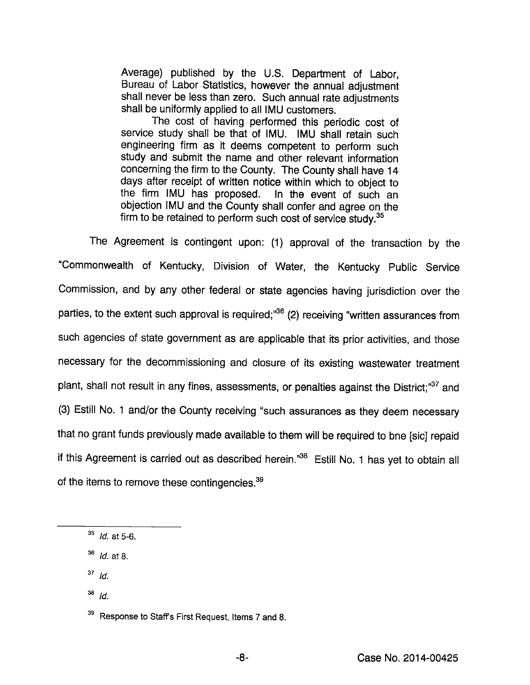Average) published by the U.S. Department of Labor, Bureau of Labor Statistics, however the annual adjustment shall never be less than zero. Such annual rate adjustments shall be uniformly applied to all IMU customers.

The cost of having performed this periodic cost of service study shali be that of IMU. IMU shall retain such engineering firm as it deems competent to perform such study and submit the name and other relevant information concerning the firm to the County. The County shall have 14 days after receipt of written notice within which to object to the firm IMU has proposed. In the event of such an objection IMU and the County shall confer and agree on the firm to be retained to perform such cost of service study. $35$ 

The Agreement is contingent upon: (1) approval of the transaction by the "Commonwealth of Kentucky, Division of Water, the Kentucky Public Service Commission, and by any other federal or state agencies having jurisdiction over the parties, to the extent such approval is required;"<sup>36</sup> (2) receiving "written assurances from such agencies of state government as are applicable that its prior activities, and those necessary for the decommissioning and closure of its existing wastewater treatment plant, shall not result in any fines, assessments, or penalties against the District;<sup>37</sup> and (3) Estill No. 1 and/or the County receiving "such assurances as they deem necessary that no grant funds previously made available to them will be required to bne [sic] repaid if this Agreement is carried out as described herein."<sup>38</sup> Estill No. 1 has yet to obtain all of the items to remove these contingencies.<sup>39</sup>

- $37$  Id.
- $^{38}$  Id.

<sup>39</sup> Response to Staff's First Request, Items 7 and 8.

 $35$  *Id.* at 5-6.

 $^{36}$  *Id.* at 8.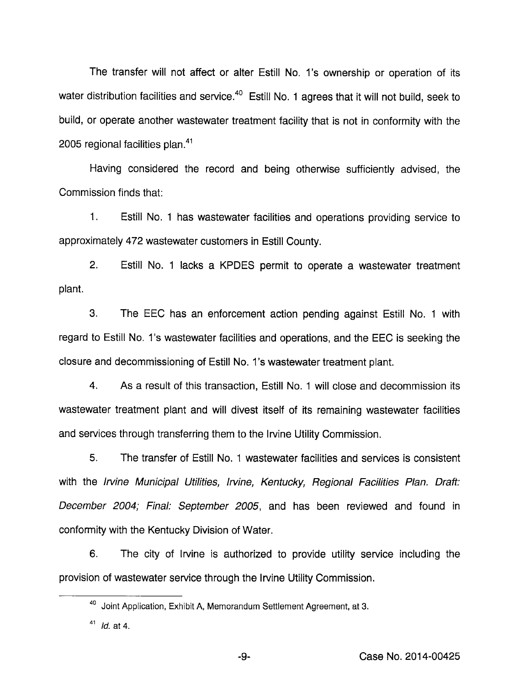The transfer will not affect or alter Estill No. 1's ownership or operation of its water distribution facilities and service.<sup>40</sup> Estill No. 1 agrees that it will not build, seek to build, or operate another wastewater treatment facility that is not in conformity with the 2005 regional facilities plan. $41$ 

Having considered the record and being otherwise sufficiently advised, the Commission finds that:

1. Estill No. 1 has wastewater facilities and operations providing service to approximately 472 wastewater customers in Estill County.

2. Estill No. 1 lacks a KPDES permit to operate a wastewater treatment plant.

3. The EEC has an enforcement action pending against Estill No. 1 with regard to Estill No. 1's wastewater facilities and operations, and the EEC is seeking the closure and decommissioning of Estill No. 1's wastewater treatment plant.

4. As a result of this transaction, Estill No. 1 will close and decommission its wastewater treatment plant and will divest itself of its remaining wastewater facilities and services through transferring them to the Irvine Utility Commission.

5. The transfer of Estill No. 1 wastewater facilities and services is consistent with the Irvine Municipal Utilities, Irvine, Kentucky, Regional Facilities Plan. Draft: December 2004; Final: September 2005, and has been reviewed and found in conformity with the Kentucky Division of Water.

6. The city of Irvine is authorized to provide utility service including the provision of wastewater service through the Irvine Utility Commission.

<sup>&</sup>lt;sup>40</sup> Joint Application, Exhibit A, Memorandum Settlement Agreement, at 3.

 $41$  *Id.* at 4.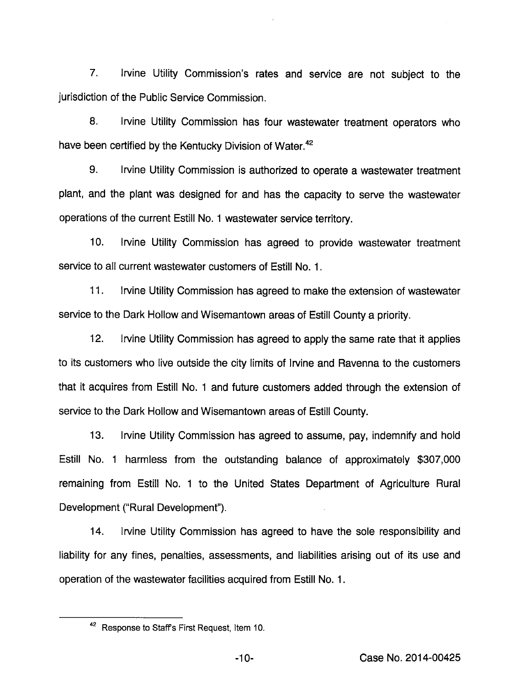7. Irvine Utility Commission's rates and service are not subject to the jurisdiction of the Public Service Commission.

8. Irvine Utility Commission has four wastewater treatment operators who have been certified by the Kentucky Division of Water. $42$ 

9. Irvine Utility Commission is authorized to operate a wastewater treatment plant, and the plant was designed for and has the capacity to serve the wastewater operations of the current Estill No. 1 wastewater service territory.

10. Irvine Utility Commission has agreed to provide wastewater treatment service to all current wastewater customers of Estill No. 1.

11. Irvine Utility Commission has agreed to make the extension of wastewater service to the Dark Hollow and Wisemantown areas of Estill County a priority.

12. Irvine Utility Commission has agreed to apply the same rate that it applies to its customers who live outside the city limits of Irvine and Ravenna to the customers that it acquires from Estill No. 1 and future customers added through the extension of service to the Dark Hollow and Wisemantown areas of Estill County.

13. Irvine Utility Commission has agreed to assume, pay, indemnify and hold Estill No. 1 harmless from the outstanding balance of approximately \$307,000 remaining from Estill No. 1 to the United States Department of Agriculture Rural Development ("Rural Development").

14. Irvine Utility Commission has agreed to have the sole responsibility and liability for any fines, penalties, assessments, and liabilities arising out of its use and operation of the wastewater facilities acquired from Estill No. 1.

<sup>42</sup> Response to Staff's First Request, Item 10.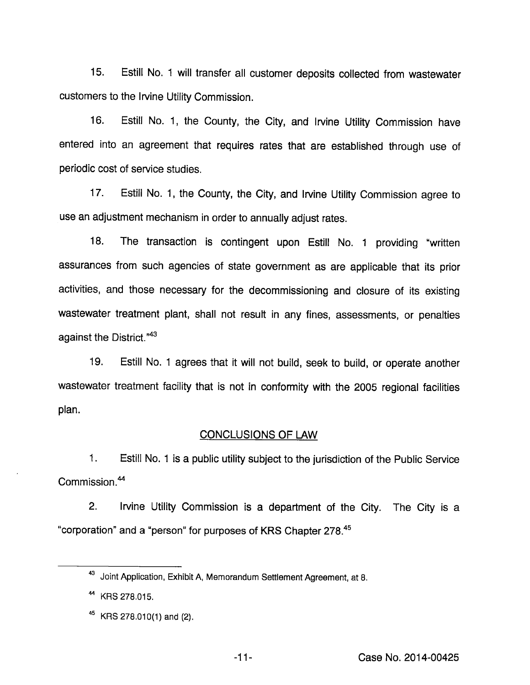15. Estill No. 1 will transfer all customer deposits coilected from wastewater customers to the Irvine Utility Commission.

16. Estill No. 1, the County, the City, and Irvine Utility Commission have entered into an agreement that requires rates that are established through use of periodic cost of service studies.

17. Estill No. 1, the County, the City, and Irvine Utility Commission agree to use an adjustment mechanism in order to annually adjust rates.

18. The transaction is contingent upon Estill No. 1 providing "written assurances from such agencies of state government as are applicable that its prior activities, and those necessary for the decommissioning and closure of its existing wastewater treatment plant, shall not result in any fines, assessments, or penalties against the District. $n43$ 

19. Estill No. 1 agrees that it will not build, seek to build, or operate another wastewater treatment facility that is not in conformity with the 2005 regional facilities plan.

## CONCLUSIONS OF LAW

1. Estill No. 1 is a public utility subject to the jurisdiction of the Public Service Commission.<sup>44</sup>

2. Irvine Utility Commission is a department of the City. The City is a "corporation" and a "person" for purposes of KRS Chapter 278.<sup>45</sup>

<sup>43</sup> Joint Application, Exhibit A, Memorandum Settlement Agreement, at 8.

<sup>&</sup>lt;sup>44</sup> KRS 278.015.

 $45$  KRS 278.010(1) and (2).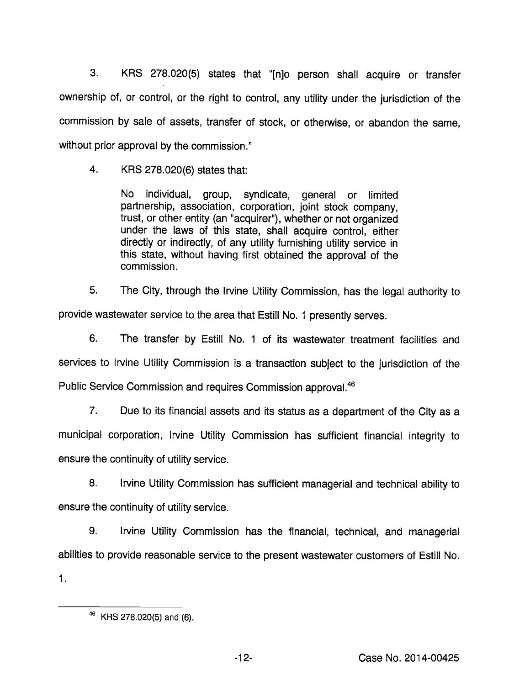3. KRS 278.020(5) states that "[njo person shall acquire or transfer ownership of, or control, or the right to control, any utility under the jurisdiction of the commission by sale of assets, transfer of stock, or othenwise, or abandon the same, without prior approval by the commission."

4. KRS 278.020(6) states that:

No individual, group, syndicate, general or limited partnership, association, corporation, joint stock company, trust, or other entity (an "acquirer"), whether or not organized under the laws of this state, shall acquire control, either directly or indirectly, of any utility furnishing utility service in this state, without having first obtained the approval of the commission.

5. The City, through the Irvine Utility Commission, has the legal authority to provide wastewater service to the area that Estill No. 1 presently serves.

6. The transfer by Estill No. 1 of its wastewater treatment facilities and services to Irvine Utility Commission is a transaction subject to the jurisdiction of the Public Service Commission and requires Commission approval.<sup>46</sup>

7. Due to its financial assets and its status as a department of the City as a municipal corporation, Irvine Utility Commission has sufficient financial integrity to ensure the continuity of utility service.

8. Irvine Utility Commission has sufficient managerial and technical ability to ensure the continuity of utility service.

9. Irvine Utility Commission has the financial, technical, and managerial abilities to provide reasonable service to the present wastewater customers of Estill No. 1.

 $46$  KRS 278.020(5) and (6).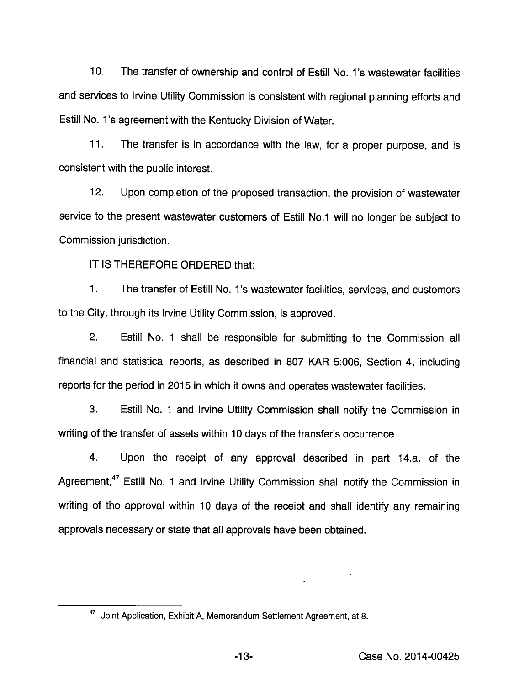10. The transfer of ownership and control of Estill No. 1's wastewater facilrties and services to Irvine Utility Commission is consistent with regional planning efforts and Estill No. 1's agreement with the Kentucky Division of Water.

11. The transfer is in accordance with the law, for a proper purpose, and is consistent with the public interest.

12. Upon completion of the proposed transaction, the provision of wastewater service to the present wastewater customers of Estill No.1 will no longer be subject to Commission jurisdiction.

IT IS THEREFORE ORDERED that:

1. The transfer of Estill No. 1's wastewater facilities, services, and customers to the City, through its Irvine Utility Commission, is approved.

2. Estill No. 1 shall be responsible for submitting to the Commission all financial and statistical reports, as described in 807 KAR 5:006, Section 4, including reports for the period in 2015 in which it owns and operates wastewater facilities.

3. Estill No. 1 and Irvine Utility Commission shall notify the Commission in writing of the transfer of assets within 10 days of the transfer's occurrence.

4. Upon the receipt of any approval described in part 14.a. of the Agreement,<sup>47</sup> Estill No. 1 and Irvine Utility Commission shall notify the Commission in writing of the approval within 10 days of the receipt and shall identify any remaining approvals necessary or state that all approvals have been obtained.

<sup>47</sup> Joint Application, Exhibit A, Memorandum Settlement Agreement, at 8.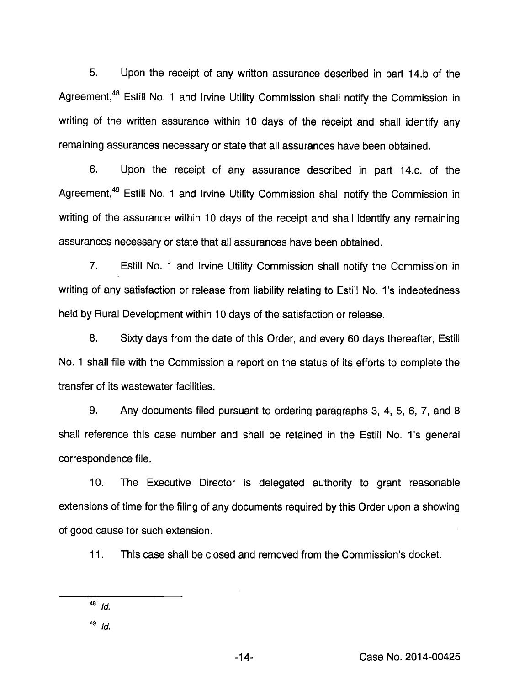5. Upon the receipt of any written assurance described in part 14.b of the Agreement,<sup>48</sup> Estill No. 1 and Irvine Utility Commission shall notify the Commission in writing of the written assurance within 10 days of the receipt and shall identify any remaining assurances necessary or state that all assurances have been obtained.

6. Upon the receipt of any assurance described in part 14.c. of the Agreement,<sup>49</sup> Estill No. 1 and Irvine Utility Commission shall notify the Commission in writing of the assurance within 10 days of the receipt and shall identify any remaining assurances necessary or state that all assurances have been obtained.

7. Estill No. 1 and Irvine Utility Commission shall notify the Commission in writing of any satisfaction or release from liability relating to Estill No. 1's indebtedness held by Rural Development within 10 days of the satisfaction or release.

8. Sixty days from the date of this Order, and every 60 days thereafter, Estill No. 1 shall file with the Commission a report on the status of its efforts to complete the transfer of its wastewater facilities.

9. Any documents filed pursuant to ordering paragraphs 3, 4, 5, 6, 7, and 8 shall reference this case number and shall be retained in the Estill No. 1's general correspondence file.

10. The Executive Director is delegated authority to grant reasonable extensions of time for the filing of any documents required by this Order upon a showing of good cause for such extension.

11. This case shall be closed and removed from the Commission's docket.

 $^{48}$  Id.

 $49$   $ld.$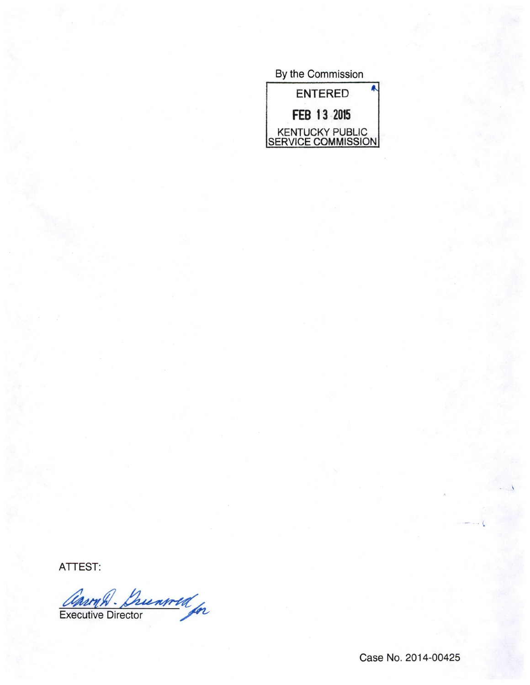By the Commission ENTERED FEB 13 2015 KENTUCKY PUBLIC SERVICE COMMISSION

ATTEST:

Carry D. Duenwed<br>Executive Director

Case No. 2014-00425

 $\Delta$